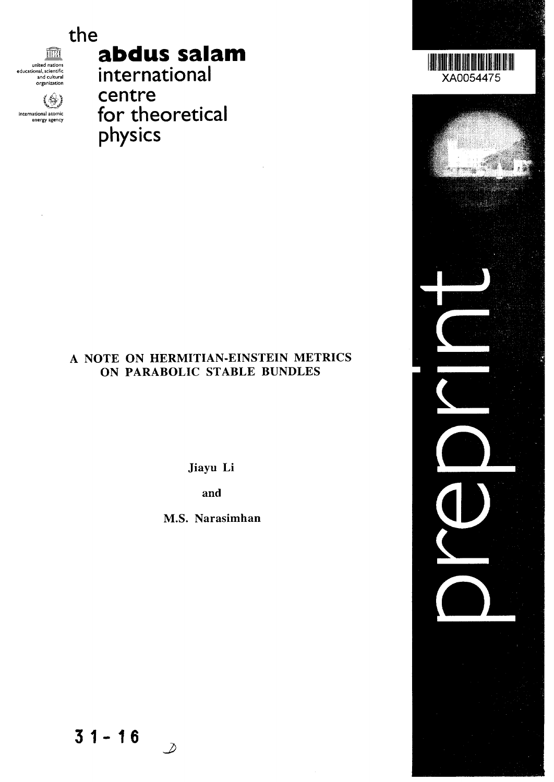

united nations educational, scientific and cultural organization

international atomic energy agency

(8)

**abdus salam**

**international centre for theoretical physics**

## A NOTE ON HERMITIAN-EINSTEIN METRICS ON PARABOLIC STABLE BUNDLES

Jiayu Li

and

M.S. Narasimhan

**31-1 6**

 $\mathcal{D}$ 

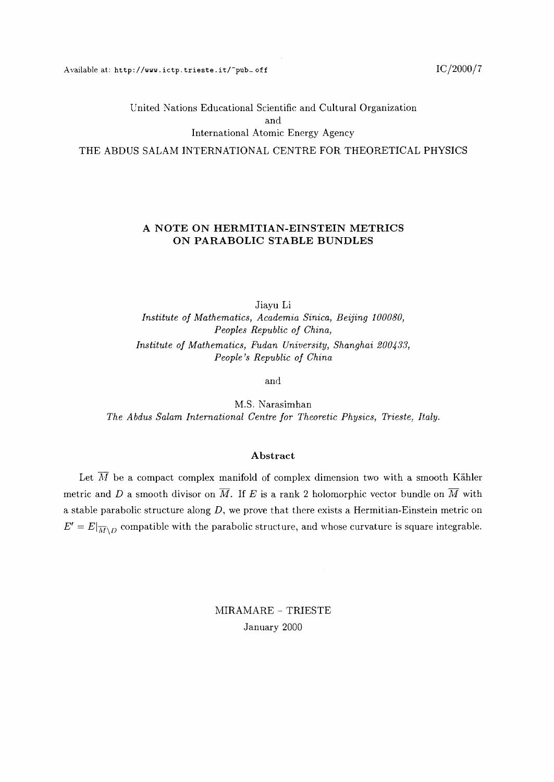United Nations Educational Scientific and Cultural Organization and International Atomic Energy Agency THE ABDUS SALAM INTERNATIONAL CENTRE FOR THEORETICAL PHYSICS

# **A NOTE ON HERMITIAN-EINSTEIN METRICS**

**ON PARABOLIC STABLE BUNDLES**

Jiayu Li *Institute of Mathematics, Academia Sinica, Beijing 100080, Peoples Republic of China, Institute of Mathematics, Fudan University, Shanghai 200433, People's Republic of China*

and

M.S. Narasimhan *The Abdus Salam International Centre for Theoretic Physics, Trieste, Italy.*

#### **Abstract**

Let  $\overline{M}$  be a compact complex manifold of complex dimension two with a smooth Kähler metric and D a smooth divisor on  $\overline{M}$ . If E is a rank 2 holomorphic vector bundle on  $\overline{M}$  with a stable parabolic structure along *D,* we prove that there exists a Hermitian-Einstein metric on  $E' = E|\overline{M} \setminus D$  compatible with the parabolic structure, and whose curvature is square integrable.

> MIRAMARE - TRIESTE January 2000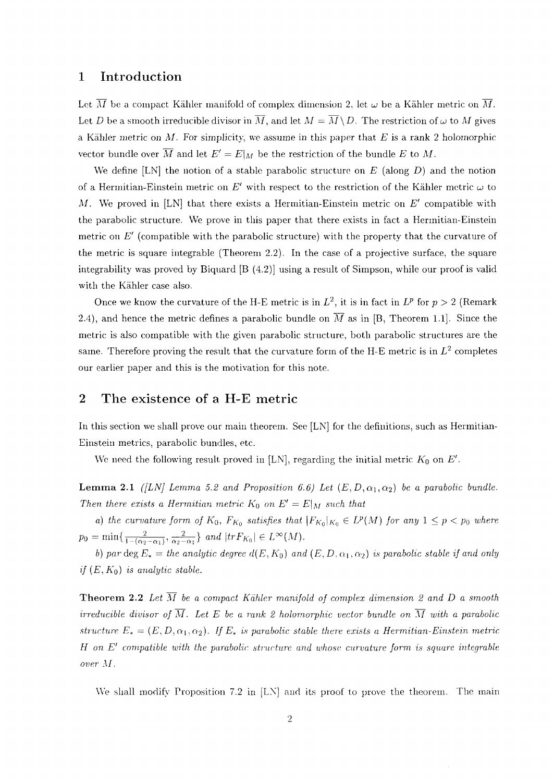#### 1 Introduction

Let  $\overline{M}$  be a compact Kähler manifold of complex dimension 2, let  $\omega$  be a Kähler metric on  $\overline{M}$ . Let *D* be a smooth irreducible divisor in  $\overline{M}$ , and let  $M = \overline{M} \setminus D$ . The restriction of  $\omega$  to M gives a Kahler metric on *M.* For simplicity, we assume in this paper that *E* is a rank 2 holomorphic vector bundle over  $\overline{M}$  and let  $E' = E\vert_M$  be the restriction of the bundle E to M.

We define [LN] the notion of a stable parabolic structure on *E* (along *D)* and the notion of a Hermitian-Einstein metric on  $E'$  with respect to the restriction of the Kähler metric  $\omega$  to *M.* We proved in [LN] that there exists a Hermitian-Einstein metric on *E'* compatible with the parabolic structure. We prove in this paper that there exists in fact a Hermitian-Einstein metric on *E'* (compatible with the parabolic structure) with the property that the curvature of the metric is square integrable (Theorem 2.2). In the case of a projective surface, the square integrability was proved by Biquard [B (4.2)] using a result of Simpson, while our proof is valid with the Kahler case also.

Once we know the curvature of the H-E metric is in  $L^2$ , it is in fact in  $L^p$  for  $p > 2$  (Remark 2.4), and hence the metric defines a parabolic bundle on  $\overline{M}$  as in [B, Theorem 1.1]. Since the metric is also compatible with the given parabolic structure, both parabolic structures are the same. Therefore proving the result that the curvature form of the H-E metric is in  $L^2$  completes our earlier paper and this is the motivation for this note.

### 2 The existence of a H-E metric

In this section we shall prove our main theorem. See [LN] for the definitions, such as Hermitian-Einstein metrics, parabolic bundles, etc.

We need the following result proved in [LN], regarding the initial metric  $K_0$  on  $E'$ .

**Lemma 2.1** *([LN] Lemma 5.2 and Proposition 6.6) Let*  $(E, D, \alpha_1, \alpha_2)$  *be a parabolic bundle. Then there exists a Hermitian metric*  $K_0$  on  $E' = E|_M$  such that

*a)* the curvature form of  $K_0$ ,  $F_{K_0}$  satisfies that  $|F_{K_0}|_{K_0} \in L^p(M)$  for any  $1 \leq p < p_0$  where  $p_0 = \min\{\frac{2}{1-(\alpha_2 - \alpha_1)}, \frac{2}{\alpha_2 - \alpha_1}\}\ and \ |trF_{K_0}| \in L^{\infty}(M).$ 

*b)* par deg  $E_* =$  the analytic degree  $d(E, K_0)$  and  $(E, D, \alpha_1, \alpha_2)$  is parabolic stable if and only *if*  $(E, K_0)$  *is analytic stable.* 

**Theorem 2.2** Let  $\overline{M}$  be a compact Kähler manifold of complex dimension 2 and D a smooth *irreducible divisor of*  $\overline{M}$ . Let E be a rank 2 holomorphic vector bundle on  $\overline{M}$  with a parabolic *structure*  $E_* = (E, D, \alpha_1, \alpha_2)$ . If  $E_*$  is parabolic stable there exists a Hermitian-Einstein metric *H on E' compatible with the parabolic structure and whose curvature form is square mtegrable over M.*

We shall modify Proposition 7.2 in [LN] and its proof to prove the theorem. The main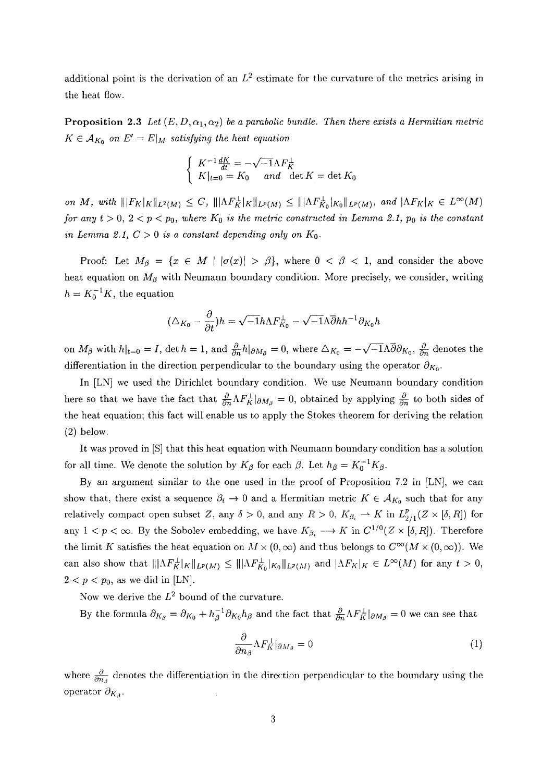additional point is the derivation of an  $L^2$  estimate for the curvature of the metrics arising in the heat flow.

**Proposition 2.3** Let  $(E, D, \alpha_1, \alpha_2)$  be a parabolic bundle. Then there exists a Hermitian metric  $K \in \mathcal{A}_{K_0}$  on  $E' = E|_M$  satisfying the heat equation

$$
\begin{cases} K^{-1} \frac{dK}{dt} = -\sqrt{-1} \Lambda F_K^{\perp} \\ K|_{t=0} = K_0 \quad \text{and} \quad \det K = \det K_0 \end{cases}
$$

 $\|F_K\|_K \|\mathbf{F}_K\|_L^2(M) \leq C, \ \|\|\Lambda F_K^{\perp}\|_L^2(M) \leq \|\|\Lambda F_{K_0}^{\perp}\|_{K_0}\|_{L^p(M)}, \text{ and } \|\Lambda F_K\|_K \in L^{\infty}(M)$ *for any t* > 0, 2 <  $p$  <  $p_0$ , where  $K_0$  is the metric constructed in Lemma 2.1,  $p_0$  is the constant *in Lemma 2.1,*  $C > 0$  *is a constant depending only on*  $K_0$ .

Proof: Let  $M_\beta = \{x \in M \mid |\sigma(x)| > \beta\}$ , where  $0 < \beta < 1$ , and consider the above heat equation on *Mp* with Neumann boundary condition. More precisely, we consider, writing  $h = K_0^{-1}K$ , the equation

$$
(\triangle_{K_0} - \frac{\partial}{\partial t})h = \sqrt{-1}h\Lambda F_{K_0}^{\perp} - \sqrt{-1}\Lambda \overline{\partial} h h^{-1} \partial_{K_0} h
$$

on  $M_{\beta}$  with  $h|_{t=0} = I$ , det  $h = 1$ , and  $\frac{\partial}{\partial n}h|_{\partial M_{\beta}} = 0$ , where  $\Delta_{K_0} = -\sqrt{-1}\Lambda\overline{\partial}\partial_{K_0}$ ,  $\frac{\partial}{\partial n}$  denotes the differentiation in the direction perpendicular to the boundary using the operator  $\partial_{K_0}$ .

In [LN] we used the Dirichlet boundary condition. We use Neumann boundary condition here so that we have the fact that  $\frac{\partial}{\partial n} \Lambda F_K^\perp|_{\partial M_\beta} = 0$ , obtained by applying  $\frac{\partial}{\partial n}$  to both sides of the heat equation; this fact will enable us to apply the Stokes theorem for deriving the relation (2) below.

It was proved in [S] that this heat equation with Neumann boundary condition has a solution for all time. We denote the solution by  $K_{\beta}$  for each  $\beta$ . Let  $h_{\beta} = K_0^{-1} K_{\beta}$ .

By an argument similar to the one used in the proof of Proposition 7.2 in [LN], we can show that, there exist a sequence  $\beta_i \to 0$  and a Hermitian metric  $K \in \mathcal{A}_{K_0}$  such that for any relatively compact open subset Z, any  $\delta > 0$ , and any  $R > 0$ ,  $K_{\beta_i} \rightharpoonup K$  in  $L_{2/1}^p(Z \times [\delta, R])$  for any  $1 < p < \infty$ . By the Sobolev embedding, we have  $K_{\beta_i} \longrightarrow K$  in  $C^{1/0}(Z \times [\delta, R])$ . Therefore the limit K satisfies the heat equation on  $M \times (0, \infty)$  and thus belongs to  $C^{\infty}(M \times (0, \infty))$ . We can also show that  $|||AF^{\perp}_{K}|_K||_{L^p(M)} \leq |||AF^{\perp}_{K_0}|_{K_0}||_{L^p(M)}$  and  $|AF_K|_K \in L^{\infty}(M)$  for any  $t > 0$ ,  $2 < p < p_0$ , as we did in [LN].

Now we derive the  $L^2$  bound of the curvature.

By the formula  $\partial_{K_\beta} = \partial_{K_0} + h_\beta^{-1} \partial_{K_0} h_\beta$  and the fact that  $\frac{\partial}{\partial n} \Lambda F_K^\perp|_{\partial M_\beta} = 0$  we can see that

$$
\frac{\partial}{\partial n_{\beta}} \Lambda F_K^{\perp}|_{\partial M_{\beta}} = 0 \tag{1}
$$

where  $\frac{\partial}{\partial n_i}$  denotes the differentiation in the direction perpendicular to the boundary using the operator  $\partial_{K_3}$ .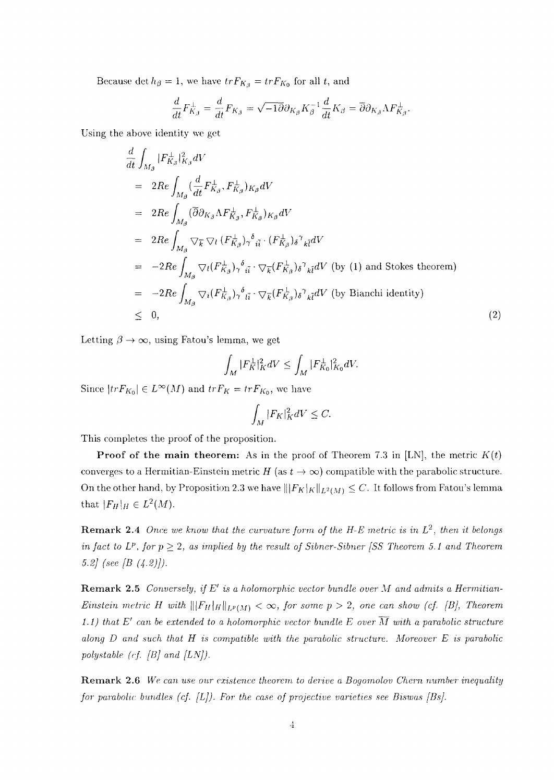Because det  $h_{\beta} = 1$ , we have  $tr F_{K_{\beta}} = tr F_{K_0}$  for all t, and

$$
\frac{d}{dt}F_{K_{\beta}}^{\perp} = \frac{d}{dt}F_{K_{\beta}} = \sqrt{-1}\overline{\partial}\partial_{K_{\beta}}K_{\beta}^{-1}\frac{d}{dt}K_{\beta} = \overline{\partial}\partial_{K_{\beta}}\Lambda F_{K_{\beta}}^{\perp}.
$$

Using the above identity we get

$$
\frac{d}{dt} \int_{M_{\beta}} |F_{K_{\beta}}^{\perp}|_{K_{\beta}}^2 dV
$$
\n
$$
= 2Re \int_{M_{\beta}} (\frac{d}{dt} F_{K_{\beta}}^{\perp}, F_{K_{\beta}}^{\perp})_{K_{\beta}} dV
$$
\n
$$
= 2Re \int_{M_{\beta}} (\overline{\partial} \partial_{K_{\beta}} \Lambda F_{K_{\beta}}^{\perp}, F_{K_{\beta}}^{\perp})_{K_{\beta}} dV
$$
\n
$$
= 2Re \int_{M_{\beta}} \nabla_{\overline{k}} \nabla_{l} (F_{K_{\beta}}^{\perp})_{\gamma}^{\delta} \tilde{u}^{*} (F_{K_{\beta}}^{\perp})_{\delta}^{\gamma} \chi_{\overline{l}} dV
$$
\n
$$
= -2Re \int_{M_{\beta}} \nabla_{l} (F_{K_{\beta}}^{\perp})_{\gamma}^{\delta} \tilde{u}^{*} \nabla_{\overline{k}} (F_{K_{\beta}}^{\perp})_{\delta}^{\gamma} \chi_{\overline{l}} dV \text{ (by (1) and Stokes theorem)}
$$
\n
$$
= -2Re \int_{M_{\beta}} \nabla_{l} (F_{K_{\beta}}^{\perp})_{\gamma}^{\delta} \tilde{u}^{*} \nabla_{\overline{k}} (F_{K_{\beta}}^{\perp})_{\delta}^{\gamma} \chi_{\overline{l}} dV \text{ (by Bianchi identity)}
$$
\n
$$
\leq 0,
$$
\n(2)

Letting  $\beta \rightarrow \infty$ , using Fatou's lemma, we get

$$
\int_M |F_K^{\perp}|_K^2 dV \le \int_M |F_{K_0}^{\perp}|_{K_0}^2 dV.
$$

Since  $\vert trF_{K_0} \vert \in L^{\infty}(M)$  and  $trF_K = trF_{K_0}$ , we have

$$
\int_M |F_K|_K^2 dV \leq C.
$$

This completes the proof of the proposition.

**Proof of the main theorem:** As in the proof of Theorem 7.3 in [LN], the metric  $K(t)$ converges to a Hermitian-Einstein metric  $H$  (as  $t \to \infty$ ) compatible with the parabolic structure. On the other hand, by Proposition 2.3 we have  $\| [F_K]_K \|_{L^2(M)} \leq C$ . It follows from Fatou's lemma that  $|F_H|_H \in L^2(M)$ .

**Remark** 2.4 *Once we know that the curvature form of the H-E metric is in L<sup>2</sup> , then it belongs in fact to L<sup>p</sup>*, *for*  $p \geq 2$ *, as implied by the result of Sibner-Sibner [SS Theorem 5.1 and Theorem 5.2] (see [B (4.2)]).*

Remark 2.5 *Conversely, if E' is a holomorphic vector bundle over M and admits a Hermitian-Einstein metric H with*  $\|\F_H\|_{L^p(M)} < \infty$ , for some  $p > 2$ , one can show (cf. [B], Theorem 1.1) that  $E'$  can be extended to a holomorphic vector bundle E over  $\overline{M}$  with a parabolic structure *along D and such that H is compatible with the parabolic structure. Moreover E is parabolic polystable (cf. [B] and [LN]).*

Remark 2.6 *We can use our existence theorem to derive a Bogomolov Chern number inequality for parabolic bundles (cf. [L]). For the case of projective varieties see Biswus [Bs].*